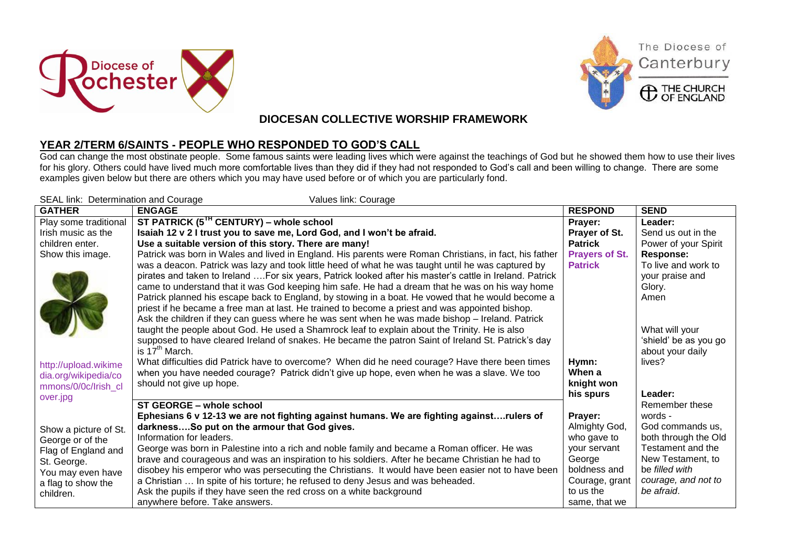





The Diocese of

Canterbury

## **DIOCESAN COLLECTIVE WORSHIP FRAMEWORK**

## **YEAR 2/TERM 6/SAINTS - PEOPLE WHO RESPONDED TO GOD'S CALL**

God can change the most obstinate people. Some famous saints were leading lives which were against the teachings of God but he showed them how to use their lives for his glory. Others could have lived much more comfortable lives than they did if they had not responded to God's call and been willing to change. There are some examples given below but there are others which you may have used before or of which you are particularly fond.

| SEAL link: Determination and Courage<br>Values link: Courage |                                                                                                                                                                                                      |                       |                       |  |  |
|--------------------------------------------------------------|------------------------------------------------------------------------------------------------------------------------------------------------------------------------------------------------------|-----------------------|-----------------------|--|--|
| <b>GATHER</b>                                                | <b>ENGAGE</b>                                                                                                                                                                                        | <b>RESPOND</b>        | <b>SEND</b>           |  |  |
| Play some traditional                                        | ST PATRICK (5 <sup>IH</sup> CENTURY) – whole school                                                                                                                                                  | Prayer:               | Leader:               |  |  |
| Irish music as the                                           | Isaiah 12 v 2 I trust you to save me, Lord God, and I won't be afraid.                                                                                                                               | Prayer of St.         | Send us out in the    |  |  |
| children enter.                                              | Use a suitable version of this story. There are many!                                                                                                                                                | <b>Patrick</b>        | Power of your Spirit  |  |  |
| Show this image.                                             | Patrick was born in Wales and lived in England. His parents were Roman Christians, in fact, his father                                                                                               | <b>Prayers of St.</b> | <b>Response:</b>      |  |  |
|                                                              | was a deacon. Patrick was lazy and took little heed of what he was taught until he was captured by                                                                                                   | <b>Patrick</b>        | To live and work to   |  |  |
|                                                              | pirates and taken to Ireland  For six years, Patrick looked after his master's cattle in Ireland. Patrick                                                                                            |                       | your praise and       |  |  |
|                                                              | came to understand that it was God keeping him safe. He had a dream that he was on his way home                                                                                                      |                       | Glory.                |  |  |
|                                                              | Patrick planned his escape back to England, by stowing in a boat. He vowed that he would become a                                                                                                    |                       | Amen                  |  |  |
|                                                              | priest if he became a free man at last. He trained to become a priest and was appointed bishop.                                                                                                      |                       |                       |  |  |
|                                                              | Ask the children if they can guess where he was sent when he was made bishop - Ireland. Patrick                                                                                                      |                       | What will your        |  |  |
|                                                              | taught the people about God. He used a Shamrock leaf to explain about the Trinity. He is also<br>supposed to have cleared Ireland of snakes. He became the patron Saint of Ireland St. Patrick's day |                       | 'shield' be as you go |  |  |
|                                                              | is 17 <sup>th</sup> March.                                                                                                                                                                           |                       | about your daily      |  |  |
|                                                              | What difficulties did Patrick have to overcome? When did he need courage? Have there been times                                                                                                      | Hymn:                 | lives?                |  |  |
| http://upload.wikime<br>dia.org/wikipedia/co                 | when you have needed courage? Patrick didn't give up hope, even when he was a slave. We too                                                                                                          | When a                |                       |  |  |
| mmons/0/0c/lrish cl                                          | should not give up hope.                                                                                                                                                                             | knight won            |                       |  |  |
| over.jpg                                                     |                                                                                                                                                                                                      | his spurs             | Leader:               |  |  |
|                                                              | ST GEORGE - whole school                                                                                                                                                                             |                       | Remember these        |  |  |
|                                                              | Ephesians 6 v 12-13 we are not fighting against humans. We are fighting againstrulers of                                                                                                             | Prayer:               | words -               |  |  |
| Show a picture of St.                                        | darknessSo put on the armour that God gives.                                                                                                                                                         | Almighty God,         | God commands us,      |  |  |
| George or of the                                             | Information for leaders.                                                                                                                                                                             | who gave to           | both through the Old  |  |  |
| Flag of England and                                          | George was born in Palestine into a rich and noble family and became a Roman officer. He was                                                                                                         | your servant          | Testament and the     |  |  |
| St. George.                                                  | brave and courageous and was an inspiration to his soldiers. After he became Christian he had to                                                                                                     | George                | New Testament, to     |  |  |
| You may even have                                            | disobey his emperor who was persecuting the Christians. It would have been easier not to have been                                                                                                   | boldness and          | be filled with        |  |  |
| a flag to show the                                           | a Christian  In spite of his torture; he refused to deny Jesus and was beheaded.                                                                                                                     | Courage, grant        | courage, and not to   |  |  |
| children.                                                    | Ask the pupils if they have seen the red cross on a white background                                                                                                                                 | to us the             | be afraid.            |  |  |
|                                                              | anywhere before. Take answers.                                                                                                                                                                       | same, that we         |                       |  |  |